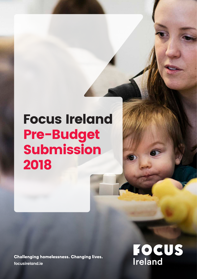# Focus Ireland Pre-Budget Submission 2018

**Challenging homelessness. Changing lives. focusireland.ie**

**FOCUS**<br>Ireland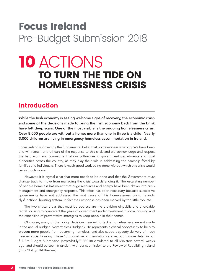## Focus Ireland Pre-Budget Submission 2018

## 10 ACTIONS TO TURN THE TIDE ON HOMELESSNESS CRISIS

## Introduction

While the Irish economy is seeing welcome signs of recovery, the economic crash and some of the decisions made to bring the Irish economy back from the brink have left deep scars. One of the most visible is the ongoing homelessness crisis. Over 8,000 people are without a home; more than one in three is a child. Nearly 3,000 children are living in emergency homeless accommodation in Ireland.

Focus Ireland is driven by the fundamental belief that homelessness is wrong. We have been and will remain at the heart of the response to this crisis and we acknowledge and respect the hard work and commitment of our colleagues in government departments and local authorities across the country, as they play their role in addressing the hardship faced by families and individuals. There is much good work being done without which this crisis would be so much worse.

However, it is crystal clear that more needs to be done and that the Government must change track to move from managing the crisis towards ending it. The escalating number of people homeless has meant that huge resources and energy have been drawn into crisis management and emergency response. This effort has been necessary because successive governments have not addressed the root cause of this homelessness crisis, Ireland's dysfunctional housing system. In fact their response has been marked by too little too late.

The two critical areas that must be address are the provision of public and affordable rental housing to counteract the years of government underinvestment in social housing and the expansion of preventative strategies to keep people in their homes.

Of course, many of the policy decisions needed to tackle homelessness are not made in the annual budget. Nevertheless Budget 2018 represents a critical opportunity to help to prevent more people from becoming homeless, and also support speedy delivery of much needed social housing. These 10 Budget recommendations are set out in more detail in our full Pre-Budget Submission (http://bit.ly/FIPBS18) circulated to all Ministers several weeks ago, and should be seen in tandem with our submission to the Review of Rebuilding Ireland (http://bit.ly/FIRBIReview).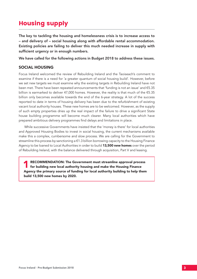## Housing supply

The key to tackling the housing and homelessness crisis is to increase access to – and delivery of – social housing along with affordable rental accommodation. Existing policies are failing to deliver this much needed increase in supply with sufficient urgency or in enough numbers.

We have called for the following actions in Budget 2018 to address these issues.

#### SOCIAL HOUSING

Focus Ireland welcomed the review of Rebuilding Ireland and the Taoiseach's comment to examine if there is a need for 'a greater quantum of social housing build'. However, before we set new targets we must examine why the existing targets in Rebuilding Ireland have not been met. There have been repeated announcements that 'funding is not an issue' and €5.35 billion is earmarked to deliver 47,000 homes. However, the reality is that much of the €5.35 billion only becomes available towards the end of the 6-year strategy. A lot of the success reported to date in terms of housing delivery has been due to the refurbishment of existing vacant local authority houses. These new homes are to be welcomed. However, as the supply of such empty properties dries up the real impact of the failure to drive a significant State house building programme will become much clearer. Many local authorities which have prepared ambitious delivery programmes find delays and limitations in place.

While successive Governments have insisted that the 'money is there' for local authorities and Approved Housing Bodies to invest in social housing, the current mechanisms available make this a complex, cumbersome and slow process. We are calling for the Government to streamline this process by sanctioning a €1.3 billion borrowing capacity to the Housing Finance Agency to be loaned to Local Authorities in order to build **13,500 new homes** over the period of Rebuilding Ireland, with the balance delivered through acquisition, Part V and leasing.

RECOMMENDATION: The Government must streamline approval process<br>for building new local authority housing and make the Housing Finance Agency the primary source of funding for local authority building to help them build 13,500 new homes by 2020.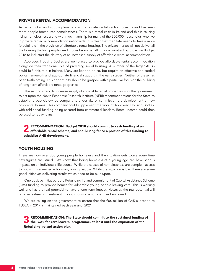#### PRIVATE RENTAL ACCOMMODATION

As rents rocket and supply plummets in the private rental sector Focus Ireland has seen more people forced into homelessness. There is a rental crisis in Ireland and this is causing rising homelessness along with much hardship for many of the 300,000 households who live in private rented accommodation nationwide. It is clear that the State needs to take a more forceful role in the provision of affordable rental housing. The private market will not deliver all the housing the Irish people need. Focus Ireland is calling for a twin-track approach in Budget 2018 to kick-start the delivery of an increased supply of affordable rental accommodation.

Approved Housing Bodies are well-placed to provide affordable rental accommodation alongside their traditional role of providing social housing. A number of the larger AHB's could fulfil this role in Ireland. Many are keen to do so, but require an effective and settled policy framework and appropriate financial support in the early stages. Neither of these has been forthcoming. This opportunity should be grasped with a particular focus on the building of long-term affordable rental properties.

The second strand to increase supply of affordable rental properties is for the government to act upon the Nevin Economic Research Institute (NERI) recommendations for the State to establish a publicly-owned company to undertake or commission the development of new cost-rental homes. This company could supplement the work of Approved Housing Bodies, with additional funding being secured from commercial lenders. Rental income could then be used to repay loans.

RECOMMENDATION: Budget 2018 should commit to cash funding of an affordable rental scheme, and should ring-fence a portion of this funding to subsidise AHB development.

#### YOUTH HOUSING

There are now over 800 young people homeless and the situation gets worse every time new figures are issued. We know that being homeless at a young age can have serious impacts on an individual's life course. While the causes of homelessness are complex, access to housing is a key issue for many young people. While the situation is bad there are some good initiatives delivering results which need to be built upon.

One positive initiative is the Rebuilding Ireland commitment of Capital Assistance Scheme (CAS) funding to provide homes for vulnerable young people leaving care. This is working well and has the real potential to have a long-term impact. However, the real potential will only be realised if investment in youth housing is sufficient and sustained.

We are calling on the government to ensure that the €66 million of CAS allocation to TUSLA in 2017 is maintained each year until 2021.

RECOMMENDATION: The State should commit to the sustained funding of **the 'CAS for care-leavers' programme, at least until the expiration of the** Rebuilding Ireland action plan.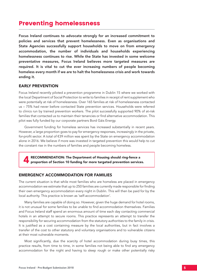## Preventing homelessness

Focus Ireland continues to advocate strongly for an increased commitment to policies and services that prevent homelessness. Even as organisations and State Agencies successfully support households to move on from emergency accommodation, the number of individuals and households experiencing homelessness continues to rise. While the State has invested in some welcome preventative measures, Focus Ireland believes more targeted measures are required. It is vital to cut the ever increasing numbers of people becoming homeless every month if we are to halt the homelessness crisis and work towards ending it.

#### EARLY PREVENTION

Focus Ireland recently piloted a prevention programme in Dublin 15 where we worked with the local Department of Social Protection to write to families in receipt of rent supplement who were potentially at risk of homelessness. Over 165 families at risk of homelessness contacted us – 75% had never before contacted State prevention services. Households were referred to clinics run by trained prevention workers. The pilot successfully supported 90% of at-risk families that contacted us to maintain their tenancies or find alternative accommodation. This pilot was fully funded by our corporate partners Bord Gáis Energy.

Government funding for homeless services has increased substantially in recent years. However, a large proportion goes to pay for emergency responses, increasingly in the private, for-profit sector. A total of €39 million was spent by the State on emergency accommodation alone in 2016. We believe if more was invested in targeted prevention this would help to cut the constant rise in the numbers of families and people becoming homeless.

RECOMMENDATION: The Department of Housing should ring-fence a proportion of Section 10 funding for more targeted prevention services.

#### EMERGENCY ACCOMMODATION FOR FAMILIES

The current situation is that while most families who are homeless are placed in emergency accommodation we estimate that up to 250 families are currently made responsible for finding their own emergency accommodation every night in Dublin. This will then be paid for by the local authority. This practice is known as 'self-accommodation'.

Many families are capable of doing so. However, given the huge demand for hotel rooms, it is not unusual for some families to be unable to find accommodation themselves. Families and Focus Ireland staff spend an enormous amount of time each day contacting commercial hotels in an attempt to secure rooms. This practice represents an attempt to transfer the responsibility for securing accommodation from the statutory authorities to the family in crisis. It is justified as a cost containing measure by the local authorities, but in fact involves a transfer of the cost to other statutory and voluntary organisations and to vulnerable citizens at their most vulnerable moments.

Most significantly, due the scarcity of hotel accommodation during busy times, this practice results, from time to time, in some families not being able to find any emergency accommodation for the night and having to sleep rough or make other potentially risky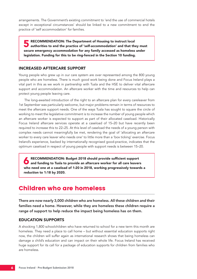arrangements. The Government's existing commitment to 'end the use of commercial hotels except in exceptional circumstances' should be linked to a new commitment to end the practice of 'self accommodation' for families.

RECOMMENDATION: The Department of Housing to instruct local<br>authorities to end the practice of 'self-accommodation' and that they must secure emergency accommodation for any family accessed as homeless under legislation. Funding for this to be ring-fenced in the Section 10 funding.

#### INCREASED AFTERCARE SUPPORT

Young people who grew up in our care system are over represented among the 800 young people who are homeless. There is much good work being done and Focus Ireland plays a vital part in this as we work in partnership with Tusla and the HSE to deliver vital aftercare support and accommodation. An aftercare worker with the time and resources to help can protect young people leaving care.

The long-awaited introduction of the right to an aftercare plan for every careleaver from 1st September was particularly welcome, but major problems remain in terms of resources to meet the aftercare support needs. One of the ways Tusla has sought to square the circle of working to meet the legislative commitment is to increase the number of young people which an aftercare worker is expected to support as part of their allocated caseload. Historically Focus Ireland aftercare services operate at a caseload of 15–20 but have recently been required to increase this to 22–25. At this level of caseload the needs of a young person with complex needs cannot meaningfully be met, rendering the goal of 'allocating an aftercare worker to every care leaver who needs one' to little more than a 'box ticking' exercise. Focus Ireland's experience, backed by internationally recognised good-practice, indicates that the optimum caseload in respect of young people with support needs is between 15–20.

RECOMMENDATION: Budget 2018 should provide sufficient support<br>and funding to Tusla to provide an aftercare worker for all care leavers who need one at a caseload of 1:20 in 2018, working progressively towards a reduction to 1:18 by 2020.

## Children who are homeless

There are now nearly 3,000 children who are homeless. All these children and their families need a home. However, while they are homeless these children require a range of support to help reduce the impact being homeless has on them.

#### EDUCATION SUPPORTS

A shocking 1,800 schoolchildren who have returned to school for a new term this month are homeless. They need a place to call home – but without essential education supports right now, the children will suffer again as international research shows that being homeless can damage a child's education and can impact on their whole life. Focus Ireland has received huge support for its call for a package of education supports for children from families who are homeless.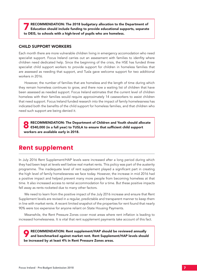7 RECOMMENDATION: The 2018 budgetary allocation to the Department of Education should include funding to provide educational supports, separate to DEIS, to schools with a high-level of pupils who are homeless.

#### CHILD SUPPORT WORKERS

Each month there are more vulnerable children living in emergency accomodation who need specialist support. Focus Ireland carries out an assessment with families to idenfity where children need dedicated help. Since the beginning of the crisis, the HSE has funded three specialist child support workers to provide support for children in homeless families that are assessed as needing that support, and Tusla gave welcome support for two additional workers in 2016.

However, the number of families that are homeless and the length of time during which they remain homeless continues to grow, and there now a waiting list of children that have been assessed as needed support. Focus Ireland estimates that the current level of children homeless with their families would require approximately 14 caseworkers to assist children that need support. Focus Ireland funded research into the impact of family homelessness has indicated both the benefits of the child support for homeless families, and that children who need such support are being denied it.

● RECOMMENDATION: The Department of Children and Youth should allocate<br>● €540,000 (in a full year) to TUSLA to ensure that sufficient child support workers are available early in 2018.

### Rent supplement

In July 2016 Rent Supplement/HAP levels were increased after a long period during which they had been kept at levels well below real market rents. This policy was part of the austerity programme. The inadequate level of rent supplement played a significant part in creating the high level of family homelessness we face today. However, the increase in mid 2016 had a positive impact and helped prevent many more people from becoming homeless at that time. It also increased access to rental accommodation for a time. But these positive impacts fell away as rents rocketed due to many other factors.

We need to learn from the positive impact of the July 2016 increase and ensure that Rent Supplement levels are revised in a regular, predictable and transparent manner to keep them in line with market rents. A recent limited snapshot of the properties for rent found that nearly 90% were too expensive for anyone reliant on State Housing Payments.

Meanwhile, the Rent Pressure Zones cover most areas where rent inflation is leading to increased homelessness. It is vital that rent supplement payments take account of this fact.

RECOMMENDATION: Rent supplement/HAP should be reviewed annually<br>and benchmarked against market rent. Rent Supplement/HAP levels should be increased by at least 4% in Rent Pressure Zones areas.